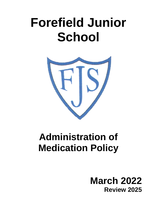# **Forefield Junior School**



## **Administration of Medication Policy**

## **March 2022 Review 2025**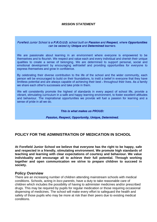#### *MISSION STATEMENT*

Forefield Junior School is a P.R.O.U.D. school built on Passion and Respect, where Opportunities can be seized by Unique and Determined learners.

We are passionate about learning in an environment where everyone is empowered to be themselves and to flourish. We respect and value each and every individual and cherish their unique qualities to create a sense of belonging. We are determined to support personal, social and emotional development by encouraging self-belief and providing opportunities for everyone to express themselves and grow in confidence.

By celebrating their diverse contribution to the life of the school and the wider community, each person will be encouraged to build on their foundations, to instil a belief in everyone that they have limitless potential and are always capable of achieving their best - throughout their lives. As a family we share each other's successes and take pride in them.

We will consistently promote the highest of standards in every aspect of school life, provide a vibrant, stimulating curriculum in a safe and happy learning environment, to foster excellent attitudes and behaviour. The inspirational opportunities we provide will fuel a passion for learning and a sense of pride in all we do.

#### This is what makes us PROUD:

Passion, Respect, Opportunity, Unique, Determined.

#### **POLICY FOR THE ADMINISTRATION OF MEDICATION IN SCHOOL**

**At Forefield Junior School we believe that everyone has the right to be happy, safe and respected in a friendly, stimulating environment. We promote high standards of teaching and learning with clear expectations of courtesy and behaviour. We value individuality and encourage all to achieve their full potential. Through working together and open communication we strive to prepare children to succeed in society.**

#### **Policy Overview**

There are an increasing number of children attending mainstream schools with medical conditions. Schools, acting in *loco parentis*, have a duty to take reasonable care of children which includes the possibility of having to administer medicines and/or prescribed drugs. This may be required by pupils for regular medication or those requiring occasional dispensing of medicines. The school will make every effort to safeguard the health and safety of those pupils who may be more at risk than their peers due to existing medical conditions.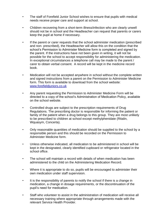- The staff of Forefield Junior School wishes to ensure that pupils with medical needs receive proper care and support at school.
- Children recovering from a short-term illness/infection who are clearly unwell should not be in school and the Headteacher can request that parents or carers keep the pupil at home if necessary.
- If the parent or carer requests that the school administer medication (prescribed and non- prescribed), the Headteacher will allow this on the condition that the school's Permission to Administer Medicine form is completed and signed by the parent. If the instructions have not been given in writing, it will not be possible for the school to accept responsibility for administering the medication. In exceptional circumstances a telephone call may be made to the parent / carer to obtain verbal consent. A record will be kept in the medicine record book.
- Medication will not be accepted anywhere in school without the complete written and signed instructions from a parent on the Permission to Administer Medicine form. This form is available to download from the school website: [www.forefieldjuniors.co.uk](http://www.forefieldjuniors.co.uk/)
- Any parent requesting the Permission to Administer Medicine Form will be directed to a copy of the school's Administration of Medication Policy, available on the school website.
- Controlled drugs are subject to the prescription requirements of Drug Regulations. The prescribing doctor is responsible for informing the patient or family of the patient when a drug belongs to this group. They are most unlikely to be prescribed to children at school except methylphenidate (Ritalin, Wquasym, Concerta).
- Only reasonable quantities of medication should be supplied to the school by a responsible person and this should be recorded on the Permission to Administer Medicine form.
- Unless otherwise indicated, all medication to be administered in school will be kept in the designated, clearly identified cupboard or refrigerator located in the school office.
- The school will maintain a record with details of when medication has been administered to the child on the Administering Medication Record.
- Where it is appropriate to do so, pupils will be encouraged to administer their own medication under staff supervision.
- It is the responsibility of parents to notify the school if there is a change in medication, a change in dosage requirements, or the discontinuation of the pupil's need for medication.
- Staff who volunteer to assist in the administration of medication will receive all necessary training where appropriate through arrangements made with the relevant Service Health Provider.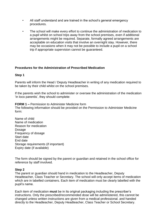- All staff understand and are trained in the school's general emergency procedures.
- The school will make every effort to continue the administration of medication to a pupil whilst on school trips away from the school premises, even if additional arrangements might be required. Separate, formally agreed arrangements are acceptable on education visits that involve an overnight stay. However, there may be occasions when it may not be possible to include a pupil on a school trip if appropriate supervision cannot be guaranteed.

#### **Procedures for the Administration of Prescribed Medication**

#### **Step 1**

Parents will inform the Head / Deputy Headteacher in writing of any medication required to be taken by their child whilst on the school premises.

If the parents wish the school to administer or oversee the administration of the medication 'in loco parentis', they should complete:

**FORM 1 –** Permission to Administer Medicine form The following information should be provided on the Permission to Administer Medicine form:

Name of child Name of medication Reason for medication Dosage Frequency of dosage Start date End date Storage requirements (if important) Expiry date (if available)

The form should be signed by the parent or guardian and retained in the school office for reference by staff involved.

#### **Step 2**

The parent or guardian should hand in medication to the Headteacher, Deputy Headteacher, Class Teacher or Secretary. The school will only accept items of medication which are in labelled containers. Each item of medication must be clearly labelled with the pupil's name.

Each item of medication **must** be in its original packaging including the prescriber's instructions. Only the prescribed/recommended dose will be administered, this cannot be changed unless written instructions are given from a medical professional. and handed directly to the Headteacher, Deputy Headteacher, Class Teacher or School Secretary.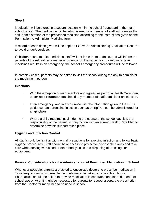#### **Step 3**

Medication will be stored in a secure location within the school ( cupboard in the main school office). The medication will be administered or a member of staff will oversee the self- administration of the prescribed medicine according to the instructions given on the Permission to Administer Medicine form.

A record of each dose given will be kept on FORM 2 - Administering Medication Record to avoid under/overdose.

If children refuse to take medicines, staff will not force them to do so, and will inform the parents of the refusal, as a matter of urgency, on the same day. If a refusal to take medicines results in an emergency, the school's emergency procedures will be followed.

In complex cases, parents may be asked to visit the school during the day to administer the medicine in person.

#### **Injections**

- With the exception of auto-injectors and agreed as part of a Health Care Plan, under **no circumstances** should any member of staff administer an injection.
- In an emergency, and in accordance with the information given in the DfES guidance , an adrenaline injection such as an EpiPen can be administered for anaphylaxis.
- Where a child requires insulin during the course of the school day, it is the responsibility of the parent, in conjunction with an agreed Health Care Plan to determine how this support takes place.

#### **Hygiene and Infection Control**

All staff should be familiar with normal precautions for avoiding infection and follow basic hygiene procedures. Staff should have access to protective disposable gloves and take care when dealing with blood or other bodily fluids and disposing of dressings or equipment.

#### **Parental Considerations for the Administration of Prescribed Medication in School**

Whenever possible, parents are asked to encourage doctors to prescribe medication in 'dose frequencies' which enable the medicine to be taken outside school hours. Pharmacists should be asked to provide medication in separate containers (i.e. one for school use only) or it might be necessary for parents to request a separate prescription from the Doctor for medicines to be used in school.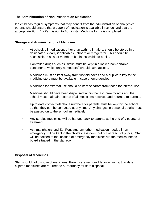#### **The Administration of Non-Prescription Medication**

If a child has regular symptoms that may benefit from the administration of analgesics, parents should ensure that a supply of medication is available in school and that the appropriate Form 1 - Permission to Administer Medicine form - is completed.

#### **Storage and Administration of Medicine**

- At school, all medication, other than asthma inhalers, should be stored in a designated, clearly identifiable cupboard or refrigerator. This should be accessible to all staff members but inaccessible to pupils.
- Controlled drugs such as Ritalin must be kept in a locked non-portable container to which only named staff should have access.
- Medicines must be kept away from first aid boxes and a duplicate key to the medicine store must be available in case of emergencies.
- Medicines for external use should be kept separate from those for internal use.
- Medicine should have been dispensed within the last three months and the school must maintain records of all medicines received and returned to parents.
- Up to date contact telephone numbers for parents must be kept by the school so that they can be contacted at any time. Any changes in personal details must be passed on to the school immediately.
- Any surplus medicines will be handed back to parents at the end of a course of treatment.
- Asthma inhalers and Epi-Pens and any other medication needed in an emergency will be kept in the child's classroom (but out of reach of pupils). Staff will be notified of the location of emergency medicines via the medical needs board situated in the staff room.

#### **Disposal of Medicines**

Staff should not dispose of medicines. Parents are responsible for ensuring that date expired medicines are returned to a Pharmacy for safe disposal.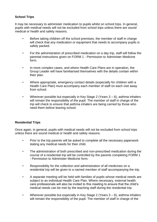#### **School Trips**

It may be necessary to administer medication to pupils whilst on school trips. In general, pupils with medical needs will not be excluded from school trips unless there are sound medical or health and safety reasons.

- Before taking children off the school premises, the member of staff in charge will check that any medication or equipment that needs to accompany pupils is safely packed.
- For the administration of prescribed medication on a day trip, staff will follow the parental instructions given on FORM 1 - Permission to Administer Medicine form.
- In more complex cases, and where Health Care Plans are in operation, the Group Leader will have familiarised themselves with the details contain within their plan.
- Where appropriate, emergency contact details (especially for children with a Health Care Plan) must accompany each member of staff on each visit away from school.
- Wherever possible but especially in Key Stage 2 (Years 3 6), asthma inhalers will remain the responsibility of the pupil. The member of staff in charge of the trip will check to ensure that asthma inhalers are being carried by those who need them before leaving school.

#### **Residential Trips**

Once again, in general, pupils with medical needs will not be excluded from school trips unless there are sound medical or health and safety reasons.

- Prior to the trip parents will be asked to complete all the necessary paperwork stating any medical needs for their child.
- The administration of both prescribed and non-prescribed medication during the course of a residential trip will be controlled by the parents completing FORM 1 - Permission to Administer Medicine form.
- Responsibility for the collection and administration of all medicines on a residential trip will be given to a named member of staff accompanying the trip.
- A separate meeting will be held with families of pupils whose medical needs are subject to an individual Health Care Plan. Where necessary, external health care professionals will also be invited to this meeting to ensure that the child's medical needs can be met by the teaching staff during the residential trip.
- Wherever possible but especially in Key Stage 2 (Years 3 6), asthma inhalers will remain the responsibility of the pupil. The member of staff in charge of the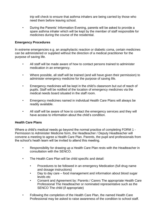trip will check to ensure that asthma inhalers are being carried by those who need them before leaving school.

• During the Parents' Information Evening, parents will be asked to provide a spare asthma inhaler which will be kept by the member of staff responsible for medicines during the course of the residential.

#### **Emergency Procedures**

In extreme emergencies e.g. an anaphylactic reaction or diabetic coma, certain medicines can be administered or supplied without the direction of a medical practitioner for the purpose of saving life.

- All staff will be made aware of how to contact persons trained to administer medication in an emergency.
- Where possible, all staff will be trained (and will have given their permission) to administer emergency medicine for the purpose of saving life.
- Emergency medicines will be kept in the child's classroom but out of reach of pupils. Staff will be notified of the location of emergency medicines via the medical needs board situated in the staff room.
- Emergency medicines named in individual Health Care Plans will always be readily available.
- All staff will be aware of how to contact the emergency services and they will have access to information about the child's condition.

#### **Health Care Plans**

Where a child's medical needs go beyond the normal practice of completing FORM 1 - Permission to Administer Medicine form, the Headteacher / Deputy Headteacher will convene a meeting to agree a Health Care Plan. Parents, the pupil and professionals from the school's heath team will be invited to attend this meeting.

- Responsibility for drawing up a Health Care Plan rests with the Headteacher in consultation with the SENCO.
- The Health Care Plan will be child specific and detail:
	- Procedures to be followed in an emergency Medication (full drug name and dosage instructions)
	- Day to day care food management and information about blood sugar levels etc
	- Consent and Agreement by: Parents / Carers The appropriate Health Care Professional The Headteacher or nominated representative such as the SENCO The child (if appropriate)
- Following the completion of the Health Care Plan, the named Health Care Professional may be asked to raise awareness of the condition to school staff.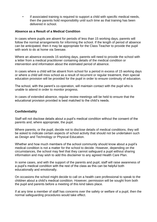• If associated training is required to support a child with specific medical needs, then the parents hold responsibility until such time as that training has been delivered in school.

#### **Absence as a Result of a Medical Condition**

In cases where pupils are absent for periods of less than 15 working days, parents will follow the normal arrangements for informing the school. If the length of period of absence can be anticipated, then it may be appropriate for the Class Teacher to provide the pupil with work to do at home via Seesaw.

Where an absence exceeds 15 working days, parents will need to provide the school with a letter from a medical practitioner containing details of the medical condition or intervention and information about the estimated period of absence.

In cases where a child will be absent from school for a period in excess of 15 working days or where a child will miss school as a result of recurrent or regular treatment, then special education provision will be provided for the pupil in order to ensure continuity of education.

The school, with the parent's co-operation, will maintain contact with the pupil who is unable to attend in order to monitor progress.

In cases of extended absence, regular review meetings will be held to ensure that the educational provision provided is best matched to the child's needs.

#### **Confidentiality**

Staff will not disclose details about a pupil's medical condition without the consent of the parents and, where appropriate, the pupil.

Where parents, or the pupil, decide not to disclose details of medical conditions, they will be asked to indicate certain aspects of school activity that should not be undertaken such as Design and Technology or Physical Education.

Whether and how much members of the school community should know about a pupil's medical condition is not a matter for the school to decide. However, depending on the circumstances, the school may feel that they cannot safeguard a pupil without sharing information and may wish to add this disclaimer to any agreed Health Care Plan.

In some cases, and with the support of the parents and pupil, staff will raise awareness of a pupil's medical condition with the rest of the class as this can be helpful both educationally and emotionally.

On occasions the school might decide to call on a health care professional to speak to the children about a child's medical condition. However, permission will be sought from both the pupil and parents before a meeting of this kind takes place.

If at any time a member of staff has concerns over the safety or welfare of a pupil, then the normal safeguarding procedures would take effect.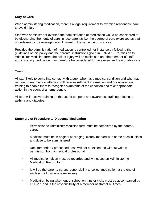#### **Duty of Care**

When administering medication, there is a legal requirement to exercise reasonable care to avoid injury.

Staff who administer or oversee the administration of medication would be considered to be discharging their duty of care 'in loco parentis' i.e. the degree of care exercised as that undertaken by the average careful parent in the same circumstances.

Provided the administration of medication is controlled, for instance by following the guidelines of this policy and the parental instructions given in FORM 1 - Permission to Administer Medicine form, the risk of injury will be minimised and the member of staff administering medication may therefore be considered to have exercised reasonable care.

#### **Training**

All staff likely to come into contact with a pupil who has a medical condition and who may require urgent medical attention will receive sufficient information and / or awareness training to enable them to recognise symptoms of the condition and take appropriate action in the event of an emergency.

All staff will receive training on the use of epi-pens and awareness training relating to asthma and diabetes.

#### **Summary of Procedure to Dispense Medication**

- Permission to Administer Medicine form must be completed by the parent / carer.
- Medicine must be in original packaging, clearly marked with name of child, class and dose to be administered.
- Recommended / prescribed dose will not be exceeded without written permission from a medical professional.
- All medication given must be recorded and witnessed on Administering Medication Record form.
- It will be the parent / carers responsibility to collect medication at the end of each school day where necessary.
- Medication being taken out of school on trips or visits must be accompanied by FORM 1 and is the responsibility of a member of staff at all times.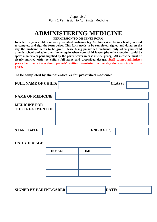## **ADMINISTERING MEDICINE**

**PERMISSION TO DISPENSE FORM**

**In order for your child to receive prescribed medicines (eg. Antibiotics) whilst in school, you need to complete and sign the form below. This form needs to be completed, signed and dated on the day the medicine needs to be given. Please bring prescribed medicines only when your child attends school and take them home again when your child leaves (the only exception could be spare inhalers/epi-pens supplied by the parent/carer in case of emergency). All medicine must be clearly marked with the child's full name and prescribed dosage. Staff cannot administer prescribed medicine without parents' written permission on the day the medicine is to be given.**

**To be completed by the parent/carer for prescribed medicine:**

| <b>FULL NAME OF CHILD:</b>                      | <b>CLASS:</b>    |
|-------------------------------------------------|------------------|
| <b>NAME OF MEDICINE:</b>                        |                  |
| <b>MEDICINE FOR</b><br><b>THE TREATMENT OF:</b> |                  |
|                                                 |                  |
| <b>START DATE:</b>                              | <b>END DATE:</b> |

#### **DAILY DOSAGE:**

| <b>DOSAGE</b> | <b>TIME</b> |  |
|---------------|-------------|--|
|               |             |  |
|               |             |  |
|               |             |  |

| <b>SIGNED BY PARENT/CARER</b> | 'DA |  |
|-------------------------------|-----|--|